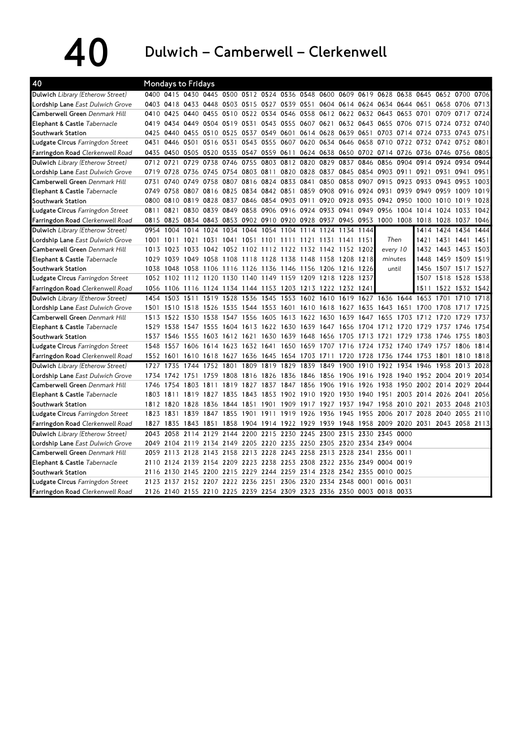40 Dulwich – Camberwell – Clerkenwell

| 40                                      | Mondays to Fridays |                |                     |                                                             |           |           |                     |           |                                         |                |      |      |                                                                                           |      |                          |                     |           |      |
|-----------------------------------------|--------------------|----------------|---------------------|-------------------------------------------------------------|-----------|-----------|---------------------|-----------|-----------------------------------------|----------------|------|------|-------------------------------------------------------------------------------------------|------|--------------------------|---------------------|-----------|------|
| Dulwich Library (Etherow Street)        |                    |                |                     |                                                             |           |           |                     |           |                                         |                |      |      | 0400 0415 0430 0445 0500 0512 0524 0536 0548 0600 0609 0619 0628 0638 0645 0652 0700 0706 |      |                          |                     |           |      |
| Lordship Lane East Dulwich Grove        |                    |                |                     | 0403 0418 0433 0448 0503 0515 0527 0539 0551                |           |           |                     |           |                                         |                |      |      | 0604 0614 0624 0634 0644 0651 0658 0706                                                   |      |                          |                     |           | 0713 |
| Camberwell Green Denmark Hill           | 0410               | 0425           |                     | 0440 0455 0510 0522 0534 0546 0558                          |           |           |                     |           |                                         |                |      |      | 0612 0622 0632 0643 0653                                                                  |      | 0701 0709                |                     | 0717      | 0724 |
| Elephant & Castle Tabernacle            |                    |                |                     |                                                             |           |           |                     |           |                                         |                |      |      | 0419 0434 0449 0504 0519 0531 0543 0555 0607 0621 0632 0643 0655 0706 0715 0724 0732 0740 |      |                          |                     |           |      |
| Southwark Station                       | 0425               | 0440           |                     | 0455 0510 0525                                              |           |           |                     |           |                                         |                |      |      | 0537 0549 0601 0614 0628 0639 0651 0703 0714 0724 0733                                    |      |                          |                     | 0743 0751 |      |
| Ludgate Circus Farringdon Street        | 0431               | 0446           | 0501                | 0516 0531                                                   |           |           |                     |           |                                         |                |      |      | 0543 0555 0607 0620 0634 0646 0658 0710 0722 0732 0742                                    |      |                          |                     | 0752      | 0801 |
| Farringdon Road Clerkenwell Road        | 0435               | 0450           |                     | 0505 0520                                                   | 0535      |           | 0547 0559 0611      |           |                                         |                |      |      | 0624 0638 0650 0702 0714 0726                                                             |      | 0736 0746 0756 0805      |                     |           |      |
| Dulwich Library (Etherow Street)        | 0712 0721          |                | 0729                | 0738                                                        | 0746      | 0755      | 0803                | 0812 0820 |                                         | 0829           | 0837 | 0846 | 0856                                                                                      | 0904 | 0914                     | 0924                | 0934      | 0944 |
| Lordship Lane East Dulwich Grove        | 0719               | 0728           | 0736                | 0745 0754                                                   |           | 0803 0811 |                     | 0820 0828 |                                         | 0837 0845 0854 |      |      | 0903 0911                                                                                 |      | 0921                     | 0931                | 0941      | 0951 |
| Camberwell Green Denmark Hill           | 0731               | 0740           | 0749                | 0758                                                        | 0807      |           | 0816 0824 0833 0841 |           |                                         | 0850 0858 0907 |      |      | 0915                                                                                      | 0923 | 0933 0943                |                     | 0953      | 1003 |
| Elephant & Castle Tabernacle            |                    | 0749 0758      | 0807                | 0816 0825                                                   |           |           |                     |           | 0834 0842 0851 0859 0908 0916 0924      |                |      |      | 0931 0939                                                                                 |      | 0949 0959                |                     | 1009      | 1019 |
| Southwark Station                       | 0800               | 0810           |                     | 0819 0828 0837 0846 0854 0903 0911 0920 0928 0935           |           |           |                     |           |                                         |                |      |      | 0942 0950                                                                                 |      | 1000 1010                |                     | 1019      | 1028 |
| Ludgate Circus Farringdon Street        | 0811               | 0821           |                     | 0830 0839 0849 0858 0906 0916 0924 0933 0941                |           |           |                     |           |                                         |                |      | 0949 | 0956                                                                                      |      | 1004 1014 1024           |                     | 1033      | 1042 |
| Farringdon Road Clerkenwell Road        | 0815               | 0825           |                     | 0834 0843 0853                                              |           |           |                     |           | 0902 0910 0920 0928 0937 0945 0953      |                |      |      | 1000 1008 1018 1028                                                                       |      |                          |                     | 1037      | 1046 |
| Dulwich Library (Etherow Street)        | 0954               | 1004           | 1014 1024           |                                                             |           |           |                     |           | 1034 1044 1054 1104 1114 1124 1134 1144 |                |      |      |                                                                                           |      |                          | 1414 1424 1434      |           | 1444 |
| <b>Lordship Lane</b> East Dulwich Grove | 1001 1011          |                |                     | 1021 1031 1041 1051 1101 1111 1121                          |           |           |                     |           |                                         | 1131 1141 1151 |      |      | Then                                                                                      |      |                          | 1421 1431 1441      |           | 1451 |
| Camberwell Green Denmark Hill           | 1013               | 1023           | 1033                | 1042                                                        |           |           |                     |           | 1052 1102 1112 1122 1132 1142 1152 1202 |                |      |      | every 10                                                                                  |      |                          | 1432 1443           | 1453      | 1503 |
| Elephant & Castle Tabernacle            |                    |                |                     | 1029 1039 1049 1058 1108 1118 1128 1138 1148 1158 1208 1218 |           |           |                     |           |                                         |                |      |      | minutes                                                                                   |      |                          | 1448 1459 1509      |           | 1519 |
| Southwark Station                       | 1038               |                |                     | 1048 1058 1106 1116 1126 1136 1146 1156 1206 1216 1226      |           |           |                     |           |                                         |                |      |      | until                                                                                     |      |                          | 1456 1507 1517 1527 |           |      |
| Ludgate Circus Farringdon Street        |                    |                |                     | 1052 1102 1112 1120 1130 1140 1149 1159 1209 1218 1228 1237 |           |           |                     |           |                                         |                |      |      |                                                                                           |      |                          | 1507 1518 1528 1538 |           |      |
| Farringdon Road Clerkenwell Road        |                    |                |                     | 1056 1106 1116 1124 1134 1144 1153 1203 1213 1222 1232 1241 |           |           |                     |           |                                         |                |      |      |                                                                                           |      |                          | 1511 1522 1532 1542 |           |      |
| Dulwich Library (Etherow Street)        | 1454 1503          |                | 1511                | 1519                                                        | 1528      | 1536      |                     |           |                                         |                |      |      | 1545 1553 1602 1610 1619 1627 1636 1644 1653 1701                                         |      |                          |                     | 1710      | 1718 |
| <b>Lordship Lane</b> East Dulwich Grove |                    |                |                     | 1501 1510 1518 1526 1535                                    |           |           |                     |           |                                         |                |      |      | 1544 1553 1601 1610 1618 1627 1635 1643 1651 1700 1708                                    |      |                          |                     | 1717      | 1725 |
| Camberwell Green Denmark Hill           | 1513               | 1522           | 1530                | 1538                                                        | 1547      | 1556      | 1605                |           | 1613 1622 1630 1639                     |                |      | 1647 | 1655                                                                                      | 1703 | 1712                     | 1720                | 1729      | 1737 |
| Elephant & Castle Tabernacle            |                    |                | 1529 1538 1547 1555 |                                                             | 1604      |           |                     |           | 1613 1622 1630 1639 1647 1656 1704      |                |      |      | 1712 1720                                                                                 |      | 1729 1737 1746           |                     |           | 1754 |
| Southwark Station                       | 1537 1546          |                | 1555 1603           |                                                             | 1612 1621 |           | 1630 1639 1648      |           |                                         | 1656 1705 1713 |      |      | 1721                                                                                      | 1729 | 1738                     | 1746                | 1755      | 1803 |
| Ludgate Circus Farringdon Street        | 1548               |                |                     |                                                             |           |           |                     |           |                                         |                |      |      | 1557 1606 1614 1623 1632 1641 1650 1659 1707 1716 1724 1732 1740 1749 1757 1806           |      |                          |                     |           | 1814 |
| Farringdon Road Clerkenwell Road        | 1552 1601          |                |                     | 1610 1618 1627 1636 1645 1654 1703 1711 1720 1728           |           |           |                     |           |                                         |                |      |      | 1736 1744 1753 1801 1810 1818                                                             |      |                          |                     |           |      |
| Dulwich Library (Etherow Street)        | 1727               | 1735           | 1744                | 1752                                                        | 1801      | 1809      | 1819 1829           |           | 1839                                    | 1849           | 1900 | 1910 | 1922                                                                                      | 1934 | 1946                     | 1958                | 2013      | 2028 |
| Lordship Lane East Dulwich Grove        |                    | 1734 1742 1751 |                     | 1759 1808                                                   |           |           |                     |           |                                         |                |      |      | 1816 1826 1836 1846 1856 1906 1916 1928 1940 1952 2004 2019 2034                          |      |                          |                     |           |      |
| Camberwell Green Denmark Hill           | 1746               | 1754           | 1803                | 1811                                                        | 1819      | 1827      | 1837 1847 1856      |           |                                         | 1906 1916      |      | 1926 | 1938                                                                                      |      | 1950 2002 2014 2029      |                     |           | 2044 |
| Elephant & Castle Tabernacle            | 1803 1811          |                | 1819 1827           |                                                             | 1835      |           | 1843 1853 1902 1910 |           |                                         | 1920 1930 1940 |      |      | 1951                                                                                      | 2003 | 2014 2026                |                     | 2041      | 2056 |
| Southwark Station                       | 1812 1820          |                | 1828                | 1836                                                        | 1844 1851 |           | 1901                |           | 1909 1917 1927 1937 1947 1958           |                |      |      |                                                                                           |      | 2010 2021 2033           |                     | 2048      | 2103 |
| Ludgate Circus Farringdon Street        | 1823 1831          |                |                     |                                                             |           |           |                     |           |                                         |                |      |      | 1839 1847 1855 1901 1911 1919 1926 1936 1945 1955 2006 2017 2028 2040                     |      |                          |                     | 2055      | 2110 |
| Farringdon Road Clerkenwell Road        | 1827               | 1835           | 1843 1851           |                                                             | 1858      |           | 1904 1914 1922 1929 |           |                                         | 1939           | 1948 | 1958 | 2009                                                                                      |      | 2020 2031 2043 2058 2113 |                     |           |      |
| Dulwich Library (Etherow Street)        | 2043               | 2058           | 2114                | 2129                                                        | 2144      | 2200      |                     | 2215 2230 | 2245                                    | 2300           | 2315 | 2330 | 2345                                                                                      | 0000 |                          |                     |           |      |
| <b>Lordship Lane</b> East Dulwich Grove | 2049               | 2104           |                     | 2119 2134 2149                                              |           |           |                     |           |                                         |                |      |      | 2205 2220 2235 2250 2305 2320 2334 2349 0004                                              |      |                          |                     |           |      |
| Camberwell Green Denmark Hill           | 2059 2113          |                |                     | 2128 2143                                                   | 2158      |           | 2213 2228 2243 2258 |           |                                         | 2313 2328      |      |      | 2341 2356 0011                                                                            |      |                          |                     |           |      |
| Elephant & Castle Tabernacle            | 2110               | 2124           |                     | 2139 2154 2209 2223 2238 2253 2308 2322 2336 2349           |           |           |                     |           |                                         |                |      |      | 0004 0019                                                                                 |      |                          |                     |           |      |
| Southwark Station                       |                    |                |                     |                                                             |           |           |                     |           |                                         |                |      |      | 2116 2130 2145 2200 2215 2229 2244 2259 2314 2328 2342 2355 0010 0025                     |      |                          |                     |           |      |
| Ludgate Circus Farringdon Street        |                    |                |                     |                                                             |           |           |                     |           |                                         |                |      |      | 2123 2137 2152 2207 2222 2236 2251 2306 2320 2334 2348 0001 0016 0031                     |      |                          |                     |           |      |
| Farringdon Road Clerkenwell Road        |                    |                |                     |                                                             |           |           |                     |           |                                         |                |      |      | 2126 2140 2155 2210 2225 2239 2254 2309 2323 2336 2350 0003 0018 0033                     |      |                          |                     |           |      |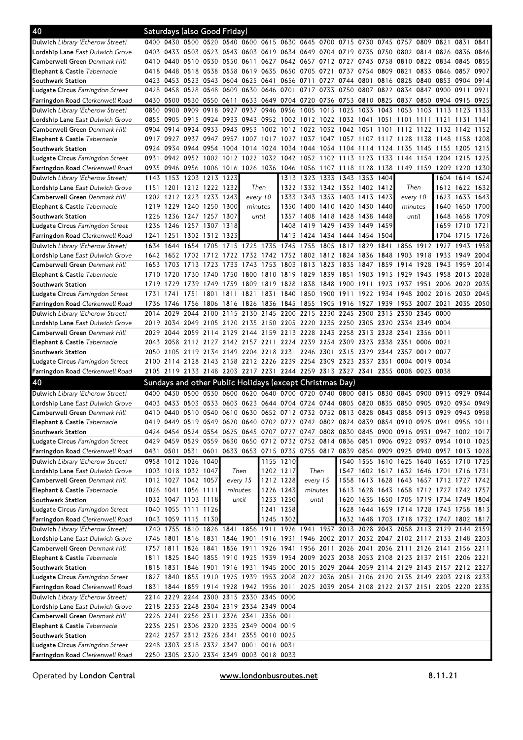| 40                                                                       |      |           |                     | Saturdays (also Good Friday)            |                |                |          |                     |                                                                                 |           |                     |           |                                    |         |                |                                                                                           |                |      |
|--------------------------------------------------------------------------|------|-----------|---------------------|-----------------------------------------|----------------|----------------|----------|---------------------|---------------------------------------------------------------------------------|-----------|---------------------|-----------|------------------------------------|---------|----------------|-------------------------------------------------------------------------------------------|----------------|------|
| Dulwich Library (Etherow Street)                                         |      |           |                     |                                         |                |                |          |                     |                                                                                 |           |                     |           |                                    |         |                | 0400 0430 0500 0520 0540 0600 0615 0630 0645 0700 0715 0730 0745 0757 0809 0821 0831 0841 |                |      |
| <b>Lordship Lane</b> East Dulwich Grove                                  |      | 0403 0433 |                     |                                         |                |                |          |                     |                                                                                 |           |                     |           |                                    |         |                | 0503 0523 0543 0603 0619 0634 0649 0704 0719 0735 0750 0802 0814 0826 0836                |                | 0846 |
| Camberwell Green Denmark Hill                                            |      | 0410 0440 |                     | 0510 0530 0550 0611                     |                |                |          | 0627 0642 0657      |                                                                                 | 0712 0727 |                     | 0743      | 0758                               |         |                | 0810 0822 0834 0845                                                                       |                | 0855 |
| <b>Elephant &amp; Castle</b> Tabernacle                                  |      | 0418 0448 | 0518                | 0538 0558 0619                          |                |                |          | 0635 0650 0705      |                                                                                 | 0721      | 0737                | 0754      | 0809                               | 0821    | 0833 0846      |                                                                                           | 0857           | 0907 |
| Southwark Station                                                        |      | 0423 0453 |                     | 0523 0543 0604 0625                     |                |                | 0641     | 0656 0711           |                                                                                 |           | 0727 0744           | 0801      | 0816                               |         | 0828 0840 0853 |                                                                                           | 0904 0914      |      |
| <b>Ludgate Circus</b> Farringdon Street                                  |      | 0428 0458 |                     |                                         |                |                |          |                     | 0528 0548 0609 0630 0646 0701 0717 0733 0750 0807 0822 0834 0847 0900           |           |                     |           |                                    |         |                |                                                                                           | 0911           | 0921 |
| <b>Farringdon Road</b> Clerkenwell Road                                  |      |           |                     |                                         |                |                |          |                     | 0430 0500 0530 0550 0611 0633 0649 0704 0720 0736 0753 0810 0825                |           |                     |           |                                    |         |                | 0837 0850 0904 0915 0925                                                                  |                |      |
| Dulwich Library (Etherow Street)                                         | 0850 | 0900      | 0909                | 0918                                    | 0927           | 0937           |          | 0946 0956 1005      |                                                                                 |           | 1015 1025 1033      |           | 1043                               | 1053    | 1103 1113      |                                                                                           | 1123           | 1133 |
| <b>Lordship Lane</b> East Dulwich Grove                                  |      | 0855 0905 |                     | 0915 0924                               |                | 0933 0943 0952 |          |                     | 1002 1012 1022 1032 1041                                                        |           |                     |           | 1051                               | 1101    | 1111           |                                                                                           | 1131           | 1141 |
| Camberwell Green Denmark Hill                                            |      | 0904 0914 | 0924                | 0933                                    | 0943           | 0953           | 1002     | 1012 1022           |                                                                                 | 1032 1042 |                     | 1051      | 1101                               | 1112    | 1122           | 1132                                                                                      | 1142           | 1152 |
| <b>Elephant &amp; Castle</b> <i>Tabernacle</i>                           |      | 0917 0927 |                     | 0937 0947                               | 0957           | 1007           | 1017     |                     | 1027 1037 1047 1057 1107 1117 1128                                              |           |                     |           |                                    |         | 1138 1148      |                                                                                           | 1158           | 1208 |
| Southwark Station                                                        |      | 0924 0934 |                     | 0944 0954 1004                          |                |                |          |                     | 1014 1024 1034 1044 1054 1104 1114                                              |           |                     |           | 1124                               | 1135    | 1145 1155      |                                                                                           | 1205           | 1215 |
| <b>Ludgate Circus</b> Farringdon Street                                  | 0931 |           |                     |                                         |                |                |          |                     |                                                                                 |           |                     |           |                                    |         |                | 0942 0952 1002 1012 1022 1032 1042 1052 1102 1113 1123 1133 1144 1154 1204 1215           |                | 1225 |
| <b>Farringdon Road</b> Clerkenwell Road                                  |      |           |                     |                                         |                |                |          |                     |                                                                                 |           |                     |           |                                    |         |                | 0935 0946 0956 1006 1016 1026 1036 1046 1056 1107 1118 1128 1138 1149 1159 1209 1220      |                | 1230 |
| Dulwich Library (Etherow Street)                                         | 1143 |           |                     | 1153 1203 1213 1223                     |                |                |          |                     | 1313 1323                                                                       |           | 1333 1343 1353 1404 |           |                                    |         |                |                                                                                           | 1604 1614 1624 |      |
| <b>Lordship Lane</b> East Dulwich Grove                                  | 1151 |           |                     | 1201 1212 1222 1232                     |                |                | Then     |                     | 1322 1332 1342 1352 1402 1412                                                   |           |                     |           |                                    |         | Then           |                                                                                           | 1612 1622 1632 |      |
| Camberwell Green Denmark Hill                                            |      |           |                     | 1202 1212 1223 1233 1243                |                |                | every 10 |                     | 1333 1343                                                                       | 1353      | 1403 1413           |           | 1423                               |         | every 10       | 1623                                                                                      | 1633 1643      |      |
| <b>Elephant &amp; Castle</b> Tabernacle                                  |      | 1219 1229 |                     | 1240 1250 1300                          |                |                | minutes  |                     | 1350 1400                                                                       |           | 1410 1420 1430      |           | 1440                               | minutes |                | 1640                                                                                      | 1650 1700      |      |
| Southwark Station                                                        |      | 1226 1236 |                     | 1247 1257 1307                          |                |                | until    |                     | 1357 1408                                                                       |           | 1418 1428 1438      |           | 1448                               |         | until          | 1648                                                                                      | 1658 1709      |      |
| Ludgate Circus Farringdon Street                                         |      | 1236 1246 |                     | 1257 1307 1318                          |                |                |          |                     | 1408 1419 1429 1439 1449 1459                                                   |           |                     |           |                                    |         |                |                                                                                           | 1659 1710 1721 |      |
| <b>Farringdon Road</b> Clerkenwell Road                                  | 1241 | 1251      | 1302 1312           |                                         | 1323           |                |          |                     | 1413 1424 1434 1444 1454                                                        |           |                     |           | 1504                               |         |                |                                                                                           | 1704 1715      | 1726 |
| Dulwich Library (Etherow Street)                                         | 1634 | 1644      | 1654                | 1705                                    | 1715           |                |          | 1725 1735 1745 1755 |                                                                                 | 1805      |                     | 1817 1829 | 1841                               |         | 1856 1912 1927 |                                                                                           | 1943           | 1958 |
| <b>Lordship Lane</b> East Dulwich Grove                                  |      | 1642 1652 | 1702                | 1712                                    | 1722           |                |          |                     | 1732 1742 1752 1802 1812 1824 1836 1848                                         |           |                     |           |                                    | 1903    | 1918 1933      |                                                                                           | 1949           | 2004 |
| Camberwell Green Denmark Hill                                            | 1653 | 1703      | 1713                | 1723                                    | 1733           | 1743           | 1753     | 1803 1813           |                                                                                 | 1823      | 1835                | 1847      | 1859                               | 1914    | 1928           | 1943                                                                                      | 1959           | 2014 |
| <b>Elephant &amp; Castle</b> <i>Tabernacle</i>                           |      | 1710 1720 | 1730                | 1740 1750                               |                |                |          | 1800 1810 1819 1829 |                                                                                 |           | 1839 1851 1903      |           | 1915                               | 1929    | 1943 1958      |                                                                                           | 2013 2028      |      |
| Southwark Station                                                        |      | 1719 1729 | 1739                |                                         | 1749 1759      | 1809           | 1819     | 1828 1838           |                                                                                 | 1848      | 1900 1911           |           | 1923                               | 1937    | 1951           | 2006                                                                                      | 2020           | 2035 |
| <b>Ludgate Circus</b> Farringdon Street                                  | 1731 | 1741      | 1751                | 1801                                    | 1811           | 1821           | 1831     | 1840 1850           |                                                                                 | 1900      | 1911                | 1922      | 1934                               | 1948    |                | 2002 2016                                                                                 | 2030           | 2045 |
| Farringdon Road Clerkenwell Road                                         | 1736 | 1746      | 1756                |                                         | 1806 1816 1826 |                |          | 1836 1845 1855      |                                                                                 | 1905      |                     | 1916 1927 | 1939                               | 1953    | 2007 2021      |                                                                                           | 2035 2050      |      |
| Dulwich Library (Etherow Street)                                         | 2014 | 2029      | 2044                | 2100                                    | 2115           | 2130           | 2145     | 2200 2215           |                                                                                 | 2230      | 2245                | 2300      | 2315                               | 2330    | 2345 0000      |                                                                                           |                |      |
|                                                                          |      | 2019 2034 |                     | 2049 2105 2120                          |                | 2135           |          | 2150 2205 2220      |                                                                                 |           |                     |           | 2235 2250 2305 2320 2334 2349 0004 |         |                |                                                                                           |                |      |
| <b>Lordship Lane</b> East Dulwich Grove<br>Camberwell Green Denmark Hill | 2029 | 2044      |                     | 2059 2114                               | 2129           | 2144           | 2159     | 2213 2228           |                                                                                 |           | 2243 2258 2313 2328 |           |                                    | 2341    | 2356 0011      |                                                                                           |                |      |
| <b>Elephant &amp; Castle</b> Tabernacle                                  |      | 2043 2058 |                     |                                         |                |                |          |                     | 2112 2127 2142 2157 2211 2224 2239 2254 2309 2323 2338 2351                     |           |                     |           |                                    |         | 0006 0021      |                                                                                           |                |      |
| Southwark Station                                                        |      | 2050 2105 |                     | 2119 2134 2149 2204 2218 2231 2246      |                |                |          |                     |                                                                                 | 2301      |                     | 2315 2329 | 2344                               |         | 2357 0012 0027 |                                                                                           |                |      |
|                                                                          |      |           |                     |                                         |                |                |          |                     | 2100 2114 2128 2143 2158 2212 2226 2239 2254 2309 2323 2337 2351                |           |                     |           |                                    |         | 0004 0019 0034 |                                                                                           |                |      |
| <b>Ludgate Circus</b> Farringdon Street                                  |      |           |                     |                                         |                |                |          |                     | 2105 2119 2133 2148 2203 2217 2231 2244 2259 2313 2327 2341 2355 0008 0023 0038 |           |                     |           |                                    |         |                |                                                                                           |                |      |
| <b>Farringdon Road</b> Clerkenwell Road                                  |      |           |                     |                                         |                |                |          |                     |                                                                                 |           |                     |           |                                    |         |                |                                                                                           |                |      |
| 40                                                                       |      |           |                     |                                         |                |                |          |                     | Sundays and other Public Holidays (except Christmas Day)                        |           |                     |           |                                    |         |                |                                                                                           |                |      |
| Dulwich Library (Etherow Street)                                         |      | 0400 0430 |                     |                                         |                |                |          |                     | 0500 0530 0600 0620 0640 0700 0720 0740 0800 0815 0830 0845                     |           |                     |           |                                    |         | 0900 0915      |                                                                                           | 0929           | 0944 |
| <b>Lordship Lane</b> East Dulwich Grove                                  |      | 0403 0433 |                     | 0503 0533                               | 0603           | 0623           |          |                     | 0644 0704 0724 0744 0805                                                        |           |                     | 0820 0835 |                                    | 0850    | 0905 0920      |                                                                                           | 0934           | 0949 |
| <b>Camberwell Green</b> Denmark Hill                                     |      |           |                     |                                         |                |                |          |                     |                                                                                 |           |                     |           |                                    |         |                | 0410 0440 0510 0540 0610 0630 0652 0712 0732 0752 0813 0828 0843 0858 0913 0929 0943 0958 |                |      |
| <b>Elephant &amp; Castle</b> Tabernacle                                  |      |           |                     |                                         |                |                |          |                     |                                                                                 |           |                     |           |                                    |         |                | 0419 0449 0519 0549 0620 0640 0702 0722 0742 0802 0824 0839 0854 0910 0925 0941 0956 1011 |                |      |
| Southwark Station                                                        |      |           |                     |                                         |                |                |          |                     |                                                                                 |           |                     |           |                                    |         |                | 0424 0454 0524 0554 0625 0645 0707 0727 0747 0808 0830 0845 0900 0916 0931 0947 1002 1017 |                |      |
| Ludgate Circus Farringdon Street                                         |      |           |                     |                                         |                |                |          |                     |                                                                                 |           |                     |           |                                    |         |                | 0429 0459 0529 0559 0630 0650 0712 0732 0752 0814 0836 0851 0906 0922 0937 0954 1010 1025 |                |      |
| <b>Farringdon Road</b> Clerkenwell Road                                  |      |           |                     |                                         |                |                |          |                     |                                                                                 |           |                     |           |                                    |         |                | 0431 0501 0531 0601 0633 0653 0715 0735 0755 0817 0839 0854 0909 0925 0940 0957 1013 1028 |                |      |
| Dulwich Library (Etherow Street)                                         |      |           | 0958 1012 1026 1040 |                                         |                |                |          | 1155 1210           |                                                                                 |           |                     |           |                                    |         |                | 1540 1555 1610 1625 1640 1655 1710 1725                                                   |                |      |
| <b>Lordship Lane</b> East Dulwich Grove                                  |      |           | 1003 1018 1032 1047 |                                         |                | Then           |          | 1202 1217           |                                                                                 | Then      |                     |           |                                    |         |                | 1547 1602 1617 1632 1646 1701 1716 1731                                                   |                |      |
| Camberwell Green Denmark Hill                                            |      |           | 1012 1027 1042 1057 |                                         |                | every 15       |          | 1212 1228           | every 15                                                                        |           |                     |           |                                    |         |                | 1558 1613 1628 1643 1657 1712 1727 1742                                                   |                |      |
| <b>Elephant &amp; Castle</b> Tabernacle                                  |      |           | 1026 1041 1056 1111 |                                         | minutes        |                |          | 1226 1243           |                                                                                 | minutes   |                     |           |                                    |         |                | 1613 1628 1643 1658 1712 1727 1742 1757                                                   |                |      |
| Southwark Station                                                        |      |           | 1032 1047 1103 1118 |                                         |                | until          |          | 1233 1250           |                                                                                 | until     |                     |           |                                    |         |                | 1620 1635 1650 1705 1719 1734 1749 1804                                                   |                |      |
| Ludgate Circus Farringdon Street                                         |      |           | 1040 1055 1111 1126 |                                         |                |                |          | 1241 1258           |                                                                                 |           |                     |           |                                    |         |                | 1628 1644 1659 1714 1728 1743 1758 1813                                                   |                |      |
| <b>Farringdon Road</b> Clerkenwell Road                                  |      |           | 1043 1059 1115 1130 |                                         |                |                |          | 1245 1302           |                                                                                 |           |                     |           |                                    |         |                | 1632 1648 1703 1718 1732 1747 1802 1817                                                   |                |      |
| Dulwich Library (Etherow Street)                                         |      |           |                     |                                         |                |                |          |                     |                                                                                 |           |                     |           |                                    |         |                | 1740 1755 1810 1826 1841 1856 1911 1926 1941 1957 2013 2028 2043 2058 2113 2129 2144 2159 |                |      |
| Lordship Lane East Dulwich Grove                                         |      |           |                     |                                         |                |                |          |                     |                                                                                 |           |                     |           |                                    |         |                | 1746 1801 1816 1831 1846 1901 1916 1931 1946 2002 2017 2032 2047 2102 2117 2133 2148 2203 |                |      |
| Camberwell Green Denmark Hill                                            |      |           |                     |                                         |                |                |          |                     |                                                                                 |           |                     |           |                                    |         |                | 1757 1811 1826 1841 1856 1911 1926 1941 1956 2011 2026 2041 2056 2111 2126 2141 2156 2211 |                |      |
| Elephant & Castle Tabernacle                                             |      |           |                     |                                         |                |                |          |                     |                                                                                 |           |                     |           |                                    |         |                | 1811 1825 1840 1855 1910 1925 1939 1954 2009 2023 2038 2053 2108 2123 2137 2151 2206 2221 |                |      |
| Southwark Station                                                        |      |           |                     |                                         |                |                |          |                     |                                                                                 |           |                     |           |                                    |         |                | 1818 1831 1846 1901 1916 1931 1945 2000 2015 2029 2044 2059 2114 2129 2143 2157 2212 2227 |                |      |
| <b>Ludgate Circus</b> Farringdon Street                                  |      |           |                     |                                         |                |                |          |                     |                                                                                 |           |                     |           |                                    |         |                | 1827 1840 1855 1910 1925 1939 1953 2008 2022 2036 2051 2106 2120 2135 2149 2203 2218 2233 |                |      |
| <b>Farringdon Road</b> Clerkenwell Road                                  |      |           |                     |                                         |                |                |          |                     |                                                                                 |           |                     |           |                                    |         |                | 1831 1844 1859 1914 1928 1942 1956 2011 2025 2039 2054 2108 2122 2137 2151 2205 2220 2235 |                |      |
| Dulwich Library (Etherow Street)                                         |      |           |                     | 2214 2229 2244 2300 2315 2330 2345 0000 |                |                |          |                     |                                                                                 |           |                     |           |                                    |         |                |                                                                                           |                |      |
| <b>Lordship Lane</b> East Dulwich Grove                                  |      |           |                     | 2218 2233 2248 2304 2319 2334 2349 0004 |                |                |          |                     |                                                                                 |           |                     |           |                                    |         |                |                                                                                           |                |      |
| Camberwell Green Denmark Hill                                            |      |           |                     | 2226 2241 2256 2311 2326 2341 2356 0011 |                |                |          |                     |                                                                                 |           |                     |           |                                    |         |                |                                                                                           |                |      |
| <b>Elephant &amp; Castle</b> Tabernacle                                  |      |           |                     | 2236 2251 2306 2320 2335 2349 0004 0019 |                |                |          |                     |                                                                                 |           |                     |           |                                    |         |                |                                                                                           |                |      |
| Southwark Station                                                        |      |           |                     | 2242 2257 2312 2326 2341 2355 0010 0025 |                |                |          |                     |                                                                                 |           |                     |           |                                    |         |                |                                                                                           |                |      |
| Ludgate Circus Farringdon Street                                         |      |           |                     | 2248 2303 2318 2332 2347 0001 0016 0031 |                |                |          |                     |                                                                                 |           |                     |           |                                    |         |                |                                                                                           |                |      |
| Farringdon Road Clerkenwell Road                                         |      |           |                     | 2250 2305 2320 2334 2349 0003 0018 0033 |                |                |          |                     |                                                                                 |           |                     |           |                                    |         |                |                                                                                           |                |      |

Operated by London Central **www.londonbusroutes.net** 8.11.21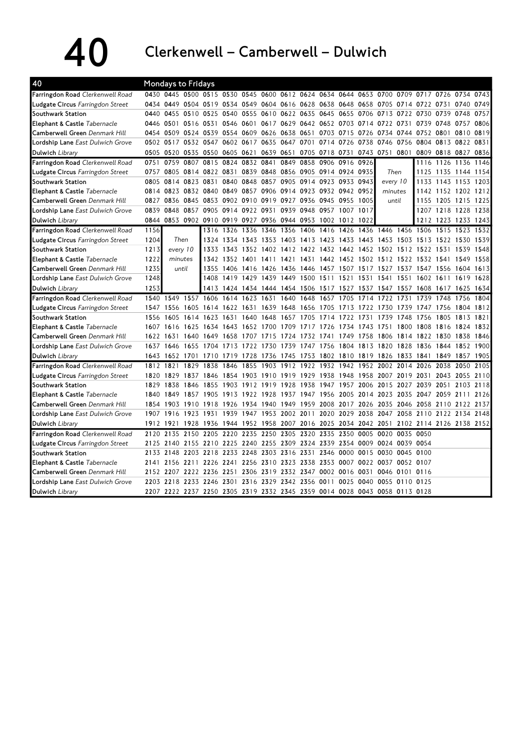40 Clerkenwell – Camberwell – Dulwich

| 40                                      |           | Mondays to Fridays                                                                   |                                                             |                                              |                          |                          |                |           |                                         |                |      |                                                                  |                |                          |                |                     |      |
|-----------------------------------------|-----------|--------------------------------------------------------------------------------------|-------------------------------------------------------------|----------------------------------------------|--------------------------|--------------------------|----------------|-----------|-----------------------------------------|----------------|------|------------------------------------------------------------------|----------------|--------------------------|----------------|---------------------|------|
| Farringdon Road Clerkenwell Road        |           | 0430 0445 0500 0515 0530 0545 0600 0612 0624 0634 0644 0653 0700 0709 0717 0726      |                                                             |                                              |                          |                          |                |           |                                         |                |      |                                                                  |                |                          |                | 0734 0743           |      |
| Ludgate Circus Farringdon Street        |           | 0434 0449 0504 0519 0534 0549 0604 0616 0628 0638 0648 0658 0705 0714 0722 0731 0740 |                                                             |                                              |                          |                          |                |           |                                         |                |      |                                                                  |                |                          |                |                     | 0749 |
| Southwark Station                       | 0440      | 0455                                                                                 | 0510 0525                                                   | 0540                                         | 0555 0610 0622 0635      |                          |                |           | 0645 0655 0706                          |                |      | 0713                                                             | 0722           | 0730 0739                |                | 0748                | 0757 |
| Elephant & Castle Tabernacle            |           | 0446 0501 0516 0531 0546                                                             |                                                             |                                              |                          |                          |                |           |                                         |                |      | 0601 0617 0629 0642 0652 0703 0714 0722 0731 0739 0748           |                |                          |                | 0757 0806           |      |
| Camberwell Green Denmark Hill           | 0454      | 0509 0524 0539 0554 0609 0626 0638 0651                                              |                                                             |                                              |                          |                          |                |           |                                         | 0703 0715 0726 |      | 0734 0744                                                        |                | 0752 0801                |                | 0810                | 0819 |
| <b>Lordship Lane</b> East Dulwich Grove |           | 0502 0517                                                                            | 0532 0547                                                   | 0602                                         | 0617 0635                |                          | 0647 0701      |           | 0714 0726 0738                          |                |      | 0746                                                             | 0756           | 0804 0813                |                | 0822                | 0831 |
| Dulwich Library                         | 0505      | 0520                                                                                 | 0535 0550 0605                                              |                                              | 0621                     | 0639 0651                |                | 0705      |                                         |                |      | 0718 0731 0743 0751 0801                                         |                |                          | 0809 0818 0827 |                     | 0836 |
| Farringdon Road Clerkenwell Road        | 0751      | 0759<br>0807                                                                         |                                                             | 0815 0824                                    | 0832 0841                |                          | 0849           | 0858      |                                         | 0906 0916 0926 |      |                                                                  |                |                          | 1116 1126      | 1136                | 1146 |
| Ludgate Circus Farringdon Street        | 0757      | 0805                                                                                 | 0814 0822 0831                                              |                                              |                          | 0839 0848 0856 0905      |                |           | 0914 0924 0935                          |                |      |                                                                  | Then           |                          | 1125 1135 1144 |                     | 1154 |
| Southwark Station                       | 0805      | 0814                                                                                 | 0823 0831                                                   |                                              | 0840 0848 0857 0905 0914 |                          |                |           |                                         | 0923 0933 0943 |      | every 10                                                         |                |                          | 1133 1143 1153 |                     | 1203 |
| Elephant & Castle Tabernacle            |           | 0814 0823 0832 0840 0849 0857 0906 0914 0923 0932 0942 0952                          |                                                             |                                              |                          |                          |                |           |                                         |                |      | minutes                                                          |                |                          |                | 1142 1152 1202 1212 |      |
| Camberwell Green Denmark Hill           | 0827      | 0836                                                                                 | 0845 0853 0902 0910 0919 0927 0936                          |                                              |                          |                          |                |           | 0945 0955 1005                          |                |      | until                                                            |                |                          | 1155 1205 1215 |                     | 1225 |
| Lordship Lane East Dulwich Grove        | 0839      | 0848                                                                                 | 0857 0905 0914                                              |                                              | 0922 0931                |                          | 0939 0948      |           | 0957 1007                               |                | 1017 |                                                                  |                |                          | 1207 1218 1228 |                     | 1238 |
| Dulwich Library                         | 0844      | 0853 0902 0910 0919                                                                  |                                                             |                                              |                          |                          |                |           | 0927 0936 0944 0953 1002 1012 1022      |                |      |                                                                  |                |                          | 1212 1223 1233 |                     | 1243 |
| Farringdon Road Clerkenwell Road        | 1156      |                                                                                      | 1316                                                        | 1326                                         | 1336                     | 1346                     | 1356           | 1406      | 1416                                    |                |      | 1426 1436 1446 1456 1506 1515                                    |                |                          |                | 1523                | 1532 |
| Ludgate Circus Farringdon Street        | 1204      | Then                                                                                 | 1324                                                        |                                              |                          |                          |                |           | 1334 1343 1353 1403 1413 1423 1433 1443 |                |      | 1453 1503 1513 1522 1530                                         |                |                          |                |                     | 1539 |
| Southwark Station                       | 1213      | every 10                                                                             | 1333                                                        | 1343                                         | 1352 1402                |                          | 1412 1422      |           | 1432 1442 1452 1502                     |                |      |                                                                  | 1512           | 1522 1531                |                | 1539                | 1548 |
| Elephant & Castle Tabernacle            | 1222      | minutes                                                                              | 1342                                                        | 1352 1401                                    |                          |                          |                |           |                                         |                |      | 1411 1421 1431 1442 1452 1502 1512 1522 1532 1541 1549           |                |                          |                |                     | 1558 |
| Camberwell Green Denmark Hill           | 1235      | until                                                                                | 1355                                                        | 1406                                         |                          |                          |                |           |                                         |                |      | 1416 1426 1436 1446 1457 1507 1517 1527 1537 1547 1556           |                |                          |                | 1604 1613           |      |
| Lordship Lane East Dulwich Grove        | 1248      |                                                                                      | 1408                                                        |                                              |                          |                          |                |           |                                         |                |      | 1419 1429 1439 1449 1500 1511 1521 1531 1541 1551 1602 1611      |                |                          |                | 1619                | 1628 |
| Dulwich Library                         | 1253      |                                                                                      | 1413                                                        |                                              |                          |                          |                |           |                                         |                |      | 1424 1434 1444 1454 1506 1517 1527 1537 1547 1557 1608 1617 1625 |                |                          |                |                     | 1634 |
| Farringdon Road Clerkenwell Road        | 1540 1549 | 1557                                                                                 | 1606                                                        | 1614                                         | 1623                     | 1631                     | 1640           | 1648      | 1657                                    | 1705           |      | 1714 1722                                                        | 1731           | 1739 1748                |                | 1756                | 1804 |
| Ludgate Circus Farringdon Street        |           | 1547 1556                                                                            | 1605 1614 1622 1631 1639 1648 1656                          |                                              |                          |                          |                |           | 1705 1713 1722                          |                |      | 1730                                                             | 1739           | 1747 1756                |                | 1804                | 1812 |
| Southwark Station                       | 1556      | 1605<br>1614                                                                         | 1623                                                        | 1631                                         | 1640                     | 1648                     | 1657           | 1705      | 1714                                    | 1722           | 1731 | 1739                                                             | 1748           | 1756                     | 1805           | 1813                | 1821 |
| <b>Elephant &amp; Castle Tabernacle</b> | 1607 1616 |                                                                                      | 1625 1634                                                   | 1643                                         | 1652 1700 1709           |                          |                | 1717      | 1726                                    | 1734 1743      |      | 1751                                                             | 1800           | 1808 1816                |                | 1824                | 1832 |
| Camberwell Green Denmark Hill           | 1622      | 1631                                                                                 | 1640 1649                                                   | 1658                                         |                          | 1707 1715 1724 1732      |                |           | 1741 1749 1758                          |                |      |                                                                  |                | 1806 1814 1822 1830      |                | 1838                | 1846 |
| Lordship Lane East Dulwich Grove        | 1637 1646 |                                                                                      | 1655 1704 1713 1722 1730 1739 1747 1756 1804 1813 1820 1828 |                                              |                          |                          |                |           |                                         |                |      |                                                                  |                | 1836 1844 1852 1900      |                |                     |      |
| Dulwich Library                         |           | 1643 1652 1701                                                                       |                                                             | 1710 1719 1728 1736 1745 1753 1802 1810 1819 |                          |                          |                |           |                                         |                |      | 1826 1833 1841 1849                                              |                |                          |                | 1857                | 1905 |
| Farringdon Road Clerkenwell Road        | 1812 1821 | 1829                                                                                 | 1838                                                        | 1846                                         | 1855                     |                          | 1903 1912 1922 |           | 1932 1942                               |                |      | 1952 2002                                                        | 2014           | 2026 2038                |                | 2050                | 2105 |
| Ludgate Circus Farringdon Street        | 1820      | 1829                                                                                 | 1837 1846 1854 1903 1910 1919 1929 1938 1948 1958           |                                              |                          |                          |                |           |                                         |                |      | 2007 2019                                                        |                | 2031 2043                |                | 2055                | 2110 |
| Southwark Station                       | 1829      | 1838<br>1846                                                                         | 1855                                                        | 1903                                         |                          | 1912 1919 1928 1938      |                |           | 1947                                    | 1957           | 2006 | 2015                                                             | 2027           | 2039 2051                |                | 2103                | 2118 |
| <b>Elephant &amp; Castle Tabernacle</b> | 1840      | 1849                                                                                 | 1857 1905                                                   | 1913                                         |                          | 1922 1928 1937 1947 1956 |                |           |                                         | 2005 2014      |      | 2023                                                             | 2035           | 2047 2059                |                | 2111                | 2126 |
| Camberwell Green Denmark Hill           | 1854      | 1903<br>1910                                                                         | 1918                                                        | 1926                                         |                          | 1934 1940 1949 1959      |                |           | 2008 2017 2026                          |                |      | 2035                                                             | 2046           | 2058 2110 2122 2137      |                |                     |      |
| Lordship Lane East Dulwich Grove        | 1907 1916 |                                                                                      | 1923 1931                                                   |                                              | 1939 1947 1953 2002 2011 |                          |                |           |                                         |                |      | 2020 2029 2038 2047 2058 2110 2122 2134                          |                |                          |                |                     | 2148 |
| Dulwich Library                         | 1912 1921 | 1928                                                                                 | 1936                                                        | 1944                                         | 1952 1958                |                          | 2007           | 2016 2025 |                                         | 2034           | 2042 | 2051                                                             |                | 2102 2114 2126 2138 2152 |                |                     |      |
| Farringdon Road Clerkenwell Road        | 2120      | 2135<br>2150                                                                         | 2205                                                        | 2220                                         | 2235                     | 2250                     | 2305           | 2320      | 2335                                    | 2350           | 0005 | 0020                                                             | 0035           | 0050                     |                |                     |      |
| Ludgate Circus Farringdon Street        | 2125      | 2140<br>2155                                                                         | 2210 2225                                                   |                                              |                          |                          |                |           | 2240 2255 2309 2324 2339 2354 0009      |                |      | 0024 0039                                                        |                | 0054                     |                |                     |      |
| Southwark Station                       | 2133 2148 |                                                                                      | 2203 2218 2233 2248 2303 2316 2331                          |                                              |                          |                          |                |           |                                         | 2346 0000 0015 |      | 0030 0045 0100                                                   |                |                          |                |                     |      |
| Elephant & Castle Tabernacle            |           | 2141 2156 2211                                                                       |                                                             | 2226 2241 2256 2310 2323 2338 2353 0007 0022 |                          |                          |                |           |                                         |                |      | 0037 0052 0107                                                   |                |                          |                |                     |      |
| Camberwell Green Denmark Hill           |           | 2152 2207 2222 2236 2251                                                             |                                                             |                                              |                          |                          |                |           | 2306 2319 2332 2347 0002 0016 0031      |                |      |                                                                  | 0046 0101 0116 |                          |                |                     |      |
| Lordship Lane East Dulwich Grove        |           | 2203 2218 2233 2246 2301                                                             |                                                             |                                              |                          | 2316 2329 2342 2356 0011 |                |           |                                         | 0025 0040      |      |                                                                  | 0055 0110 0125 |                          |                |                     |      |
| Dulwich Library                         |           | 2207 2222 2237 2250 2305 2319 2332 2345 2359 0014 0028 0043 0058 0113 0128           |                                                             |                                              |                          |                          |                |           |                                         |                |      |                                                                  |                |                          |                |                     |      |